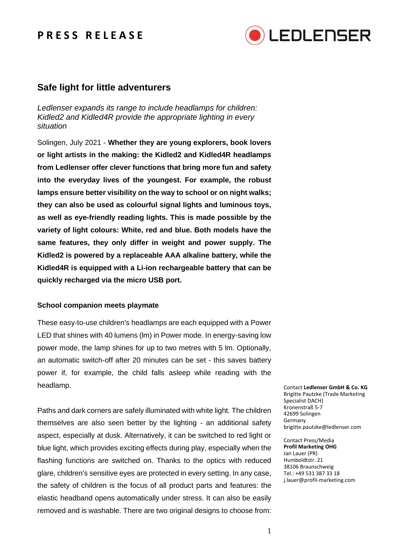## **P R E S S R E L E A S E**



### **Safe light for little adventurers**

*Ledlenser expands its range to include headlamps for children: Kidled2 and Kidled4R provide the appropriate lighting in every situation*

Solingen, July 2021 - **Whether they are young explorers, book lovers or light artists in the making: the Kidled2 and Kidled4R headlamps from Ledlenser offer clever functions that bring more fun and safety into the everyday lives of the youngest. For example, the robust lamps ensure better visibility on the way to school or on night walks; they can also be used as colourful signal lights and luminous toys, as well as eye-friendly reading lights. This is made possible by the variety of light colours: White, red and blue. Both models have the same features, they only differ in weight and power supply. The Kidled2 is powered by a replaceable AAA alkaline battery, while the Kidled4R is equipped with a Li-ion rechargeable battery that can be quickly recharged via the micro USB port.**

### **School companion meets playmate**

These easy-to-use children's headlamps are each equipped with a Power LED that shines with 40 lumens (lm) in Power mode. In energy-saving low power mode, the lamp shines for up to two metres with 5 lm. Optionally, an automatic switch-off after 20 minutes can be set - this saves battery power if, for example, the child falls asleep while reading with the headlamp.

Paths and dark corners are safely illuminated with white light. The children themselves are also seen better by the lighting - an additional safety aspect, especially at dusk. Alternatively, it can be switched to red light or blue light, which provides exciting effects during play, especially when the flashing functions are switched on. Thanks to the optics with reduced glare, children's sensitive eyes are protected in every setting. In any case, the safety of children is the focus of all product parts and features: the elastic headband opens automatically under stress. It can also be easily removed and is washable. There are two original designs to choose from:

Contact **Ledlenser GmbH & Co. KG** Brigitte Pautzke (Trade Marketing Specialist DACH) Kronenstraß 5-7 42699 Solingen Germany brigitte.pautzke@ledlenser.com

Contact Press/Media **Profil Marketing OHG** Jan Lauer (PR) Humboldtstr. 21 38106 Braunschweig Tel.: +49 531 387 33 18 j.lauer@profil-marketing.com